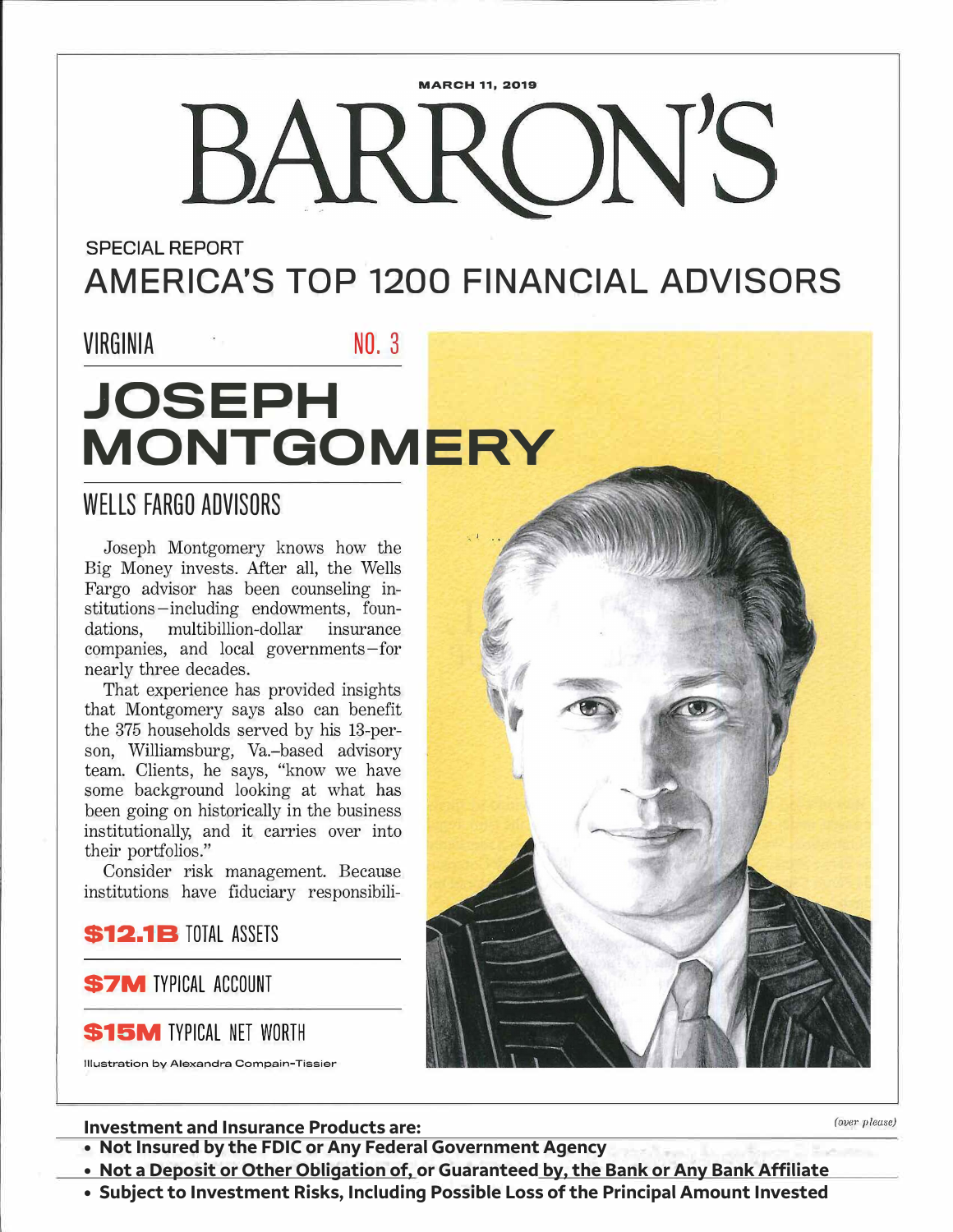# **MARCH 11, 2019**  BARRON'S

**SPECIAL REPORT** 

**AMERICA'S TOP 1200 FINANCIAL ADVISORS** 

### VIRGINIA NO. 3

## **JOSEPH MONTGOMERY**

### **WELLS FARGO ADVISORS**

Joseph Montgomery knows how the Big Money invests. After all, the Wells Fargo advisor has been counseling institutions -including endowments, foundations, multibillion-dollar insurance companies, and local governments-for nearly three decades.

That experience has provided insights that Montgomery says also can benefit the 375 households served by his 13-person, Williamsburg, Va.-based advisory team. Clients, he says, "know we have some background looking at what has been going on historically in the business institutionally, and it carries over into their portfolios."

Consider risk management. Because institutions have fiduciary responsibili-

**\$12.1B TOTAL ASSETS** 

**S7M TYPICAL ACCOUNT** 

S15M TYPICAL NET WORTH



### **Investment and Insurance Products are:**  $\frac{1}{2}$  **Investment and Insurance Products are:**

**• Not Insured by the FDIC or Any Federal Government Agency**

**• Not a Deposit or Other Obligation of, or Guaranteed by, the Bank or Any Bank Affiliate**

**• Subject to Investment Risks, Including Possible Loss of the Principal Amount Invested**